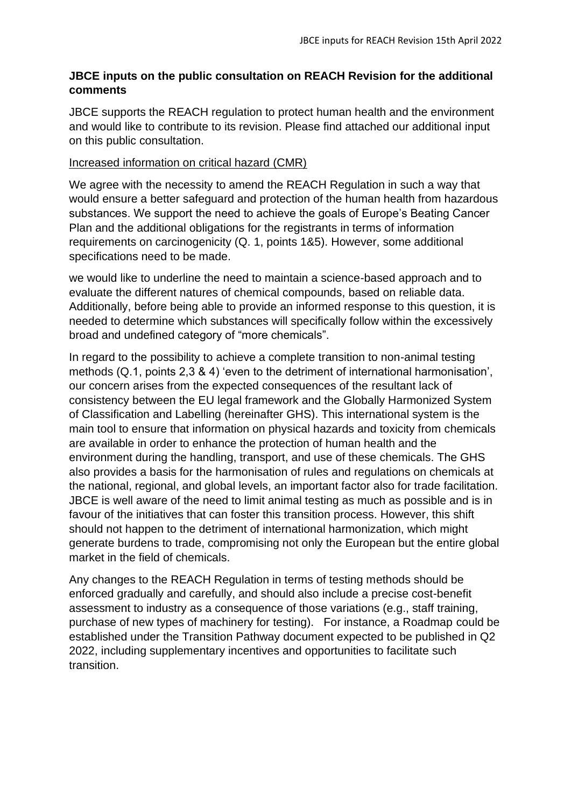# **JBCE inputs on the public consultation on REACH Revision for the additional comments**

JBCE supports the REACH regulation to protect human health and the environment and would like to contribute to its revision. Please find attached our additional input on this public consultation.

# Increased information on critical hazard (CMR)

We agree with the necessity to amend the REACH Regulation in such a way that would ensure a better safeguard and protection of the human health from hazardous substances. We support the need to achieve the goals of Europe's Beating Cancer Plan and the additional obligations for the registrants in terms of information requirements on carcinogenicity (Q. 1, points 1&5). However, some additional specifications need to be made.

we would like to underline the need to maintain a science-based approach and to evaluate the different natures of chemical compounds, based on reliable data. Additionally, before being able to provide an informed response to this question, it is needed to determine which substances will specifically follow within the excessively broad and undefined category of "more chemicals".

In regard to the possibility to achieve a complete transition to non-animal testing methods (Q.1, points 2,3 & 4) 'even to the detriment of international harmonisation', our concern arises from the expected consequences of the resultant lack of consistency between the EU legal framework and the Globally Harmonized System of Classification and Labelling (hereinafter GHS). This international system is the main tool to ensure that information on physical hazards and toxicity from chemicals are available in order to enhance the protection of human health and the environment during the handling, transport, and use of these chemicals. The GHS also provides a basis for the harmonisation of rules and regulations on chemicals at the national, regional, and global levels, an important factor also for trade facilitation. JBCE is well aware of the need to limit animal testing as much as possible and is in favour of the initiatives that can foster this transition process. However, this shift should not happen to the detriment of international harmonization, which might generate burdens to trade, compromising not only the European but the entire global market in the field of chemicals.

Any changes to the REACH Regulation in terms of testing methods should be enforced gradually and carefully, and should also include a precise cost-benefit assessment to industry as a consequence of those variations (e.g., staff training, purchase of new types of machinery for testing). For instance, a Roadmap could be established under the Transition Pathway document expected to be published in Q2 2022, including supplementary incentives and opportunities to facilitate such transition.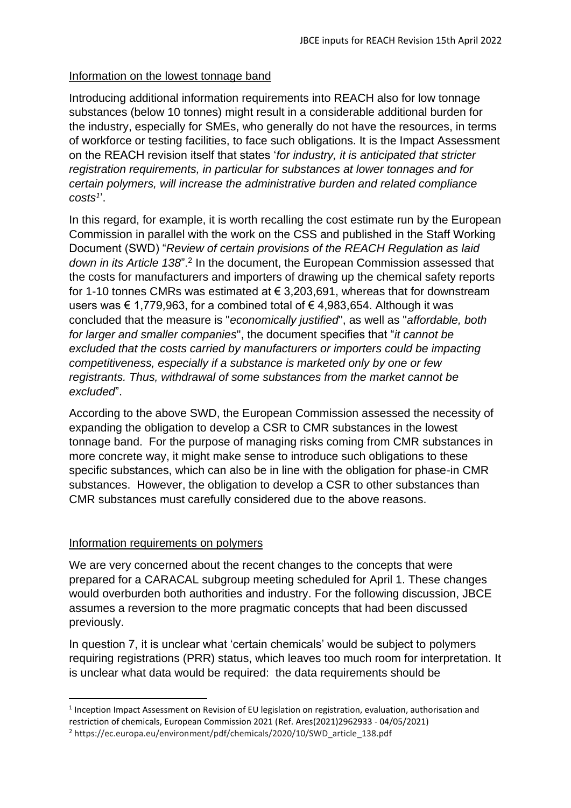## Information on the lowest tonnage band

Introducing additional information requirements into REACH also for low tonnage substances (below 10 tonnes) might result in a considerable additional burden for the industry, especially for SMEs, who generally do not have the resources, in terms of workforce or testing facilities, to face such obligations. It is the Impact Assessment on the REACH revision itself that states '*for industry, it is anticipated that stricter registration requirements, in particular for substances at lower tonnages and for certain polymers, will increase the administrative burden and related compliance costs<sup>1</sup>* '.

In this regard, for example, it is worth recalling the cost estimate run by the European Commission in parallel with the work on the CSS and published in the Staff Working Document (SWD) "*Review of certain provisions of the REACH Regulation as laid*  down in its Article 138".<sup>2</sup> In the document, the European Commission assessed that the costs for manufacturers and importers of drawing up the chemical safety reports for 1-10 tonnes CMRs was estimated at € 3,203,691, whereas that for downstream users was € 1,779,963, for a combined total of  $∈$  4,983,654. Although it was concluded that the measure is "*economically justified*", as well as "*affordable, both for larger and smaller companies*", the document specifies that "*it cannot be excluded that the costs carried by manufacturers or importers could be impacting competitiveness, especially if a substance is marketed only by one or few registrants. Thus, withdrawal of some substances from the market cannot be excluded*".

According to the above SWD, the European Commission assessed the necessity of expanding the obligation to develop a CSR to CMR substances in the lowest tonnage band. For the purpose of managing risks coming from CMR substances in more concrete way, it might make sense to introduce such obligations to these specific substances, which can also be in line with the obligation for phase-in CMR substances. However, the obligation to develop a CSR to other substances than CMR substances must carefully considered due to the above reasons.

# Information requirements on polymers

We are very concerned about the recent changes to the concepts that were prepared for a CARACAL subgroup meeting scheduled for April 1. These changes would overburden both authorities and industry. For the following discussion, JBCE assumes a reversion to the more pragmatic concepts that had been discussed previously.

In question 7, it is unclear what 'certain chemicals' would be subject to polymers requiring registrations (PRR) status, which leaves too much room for interpretation. It is unclear what data would be required: the data requirements should be

<sup>&</sup>lt;sup>1</sup> Inception Impact Assessment on Revision of EU legislation on registration, evaluation, authorisation and restriction of chemicals, European Commission 2021 (Ref. Ares(2021)2962933 - 04/05/2021)

<sup>2</sup> https://ec.europa.eu/environment/pdf/chemicals/2020/10/SWD\_article\_138.pdf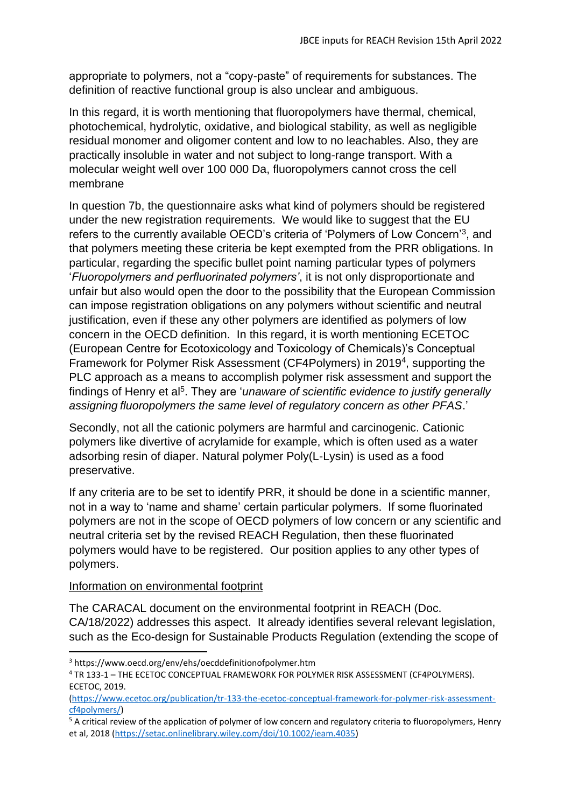appropriate to polymers, not a "copy-paste" of requirements for substances. The definition of reactive functional group is also unclear and ambiguous.

In this regard, it is worth mentioning that fluoropolymers have thermal, chemical, photochemical, hydrolytic, oxidative, and biological stability, as well as negligible residual monomer and oligomer content and low to no leachables. Also, they are practically insoluble in water and not subject to long-range transport. With a molecular weight well over 100 000 Da, fluoropolymers cannot cross the cell membrane

In question 7b, the questionnaire asks what kind of polymers should be registered under the new registration requirements. We would like to suggest that the EU refers to the currently available OECD's criteria of 'Polymers of Low Concern'<sup>3</sup>, and that polymers meeting these criteria be kept exempted from the PRR obligations. In particular, regarding the specific bullet point naming particular types of polymers '*Fluoropolymers and perfluorinated polymers'*, it is not only disproportionate and unfair but also would open the door to the possibility that the European Commission can impose registration obligations on any polymers without scientific and neutral justification, even if these any other polymers are identified as polymers of low concern in the OECD definition. In this regard, it is worth mentioning ECETOC (European Centre for Ecotoxicology and Toxicology of Chemicals)'s Conceptual Framework for Polymer Risk Assessment (CF4Polymers) in 2019<sup>4</sup>, supporting the PLC approach as a means to accomplish polymer risk assessment and support the findings of Henry et al<sup>5</sup>. They are 'unaware of scientific evidence to justify generally *assigning fluoropolymers the same level of regulatory concern as other PFAS*.'

Secondly, not all the cationic polymers are harmful and carcinogenic. Cationic polymers like divertive of acrylamide for example, which is often used as a water adsorbing resin of diaper. Natural polymer Poly(L-Lysin) is used as a food preservative.

If any criteria are to be set to identify PRR, it should be done in a scientific manner, not in a way to 'name and shame' certain particular polymers. If some fluorinated polymers are not in the scope of OECD polymers of low concern or any scientific and neutral criteria set by the revised REACH Regulation, then these fluorinated polymers would have to be registered. Our position applies to any other types of polymers.

## Information on environmental footprint

The CARACAL document on the environmental footprint in REACH (Doc. CA/18/2022) addresses this aspect. It already identifies several relevant legislation, such as the Eco-design for Sustainable Products Regulation (extending the scope of

<sup>3</sup> https://www.oecd.org/env/ehs/oecddefinitionofpolymer.htm

<sup>4</sup> TR 133-1 – THE ECETOC CONCEPTUAL FRAMEWORK FOR POLYMER RISK ASSESSMENT (CF4POLYMERS). ECETOC, 2019.

[<sup>\(</sup>https://www.ecetoc.org/publication/tr-133-the-ecetoc-conceptual-framework-for-polymer-risk-assessment](https://www.ecetoc.org/publication/tr-133-the-ecetoc-conceptual-framework-for-polymer-risk-assessment-cf4polymers/)[cf4polymers/\)](https://www.ecetoc.org/publication/tr-133-the-ecetoc-conceptual-framework-for-polymer-risk-assessment-cf4polymers/)

<sup>&</sup>lt;sup>5</sup> A critical review of the application of polymer of low concern and regulatory criteria to fluoropolymers, Henry et al, 2018 [\(https://setac.onlinelibrary.wiley.com/doi/10.1002/ieam.4035\)](https://setac.onlinelibrary.wiley.com/doi/10.1002/ieam.4035)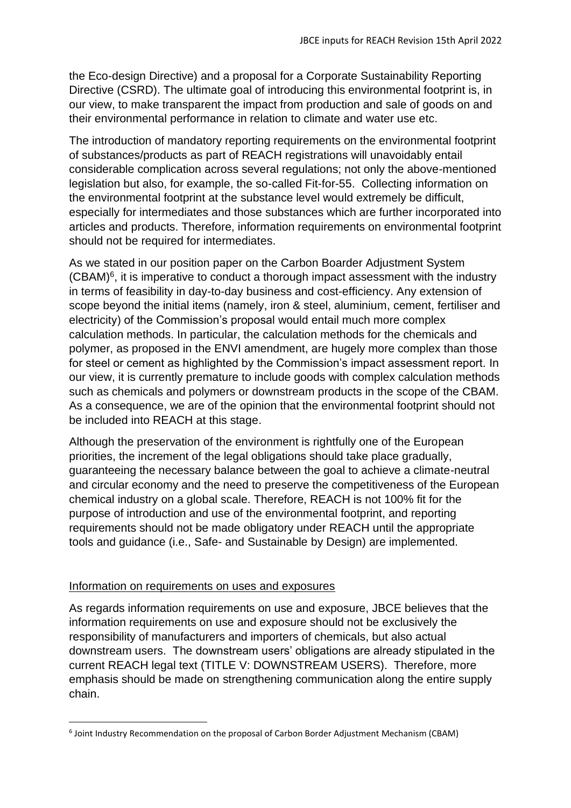the Eco-design Directive) and a proposal for a Corporate Sustainability Reporting Directive (CSRD). The ultimate goal of introducing this environmental footprint is, in our view, to make transparent the impact from production and sale of goods on and their environmental performance in relation to climate and water use etc.

The introduction of mandatory reporting requirements on the environmental footprint of substances/products as part of REACH registrations will unavoidably entail considerable complication across several regulations; not only the above-mentioned legislation but also, for example, the so-called Fit-for-55. Collecting information on the environmental footprint at the substance level would extremely be difficult, especially for intermediates and those substances which are further incorporated into articles and products. Therefore, information requirements on environmental footprint should not be required for intermediates.

As we stated in our position paper on the Carbon Boarder Adjustment System  $(CBAM)<sup>6</sup>$ , it is imperative to conduct a thorough impact assessment with the industry in terms of feasibility in day-to-day business and cost-efficiency. Any extension of scope beyond the initial items (namely, iron & steel, aluminium, cement, fertiliser and electricity) of the Commission's proposal would entail much more complex calculation methods. In particular, the calculation methods for the chemicals and polymer, as proposed in the ENVI amendment, are hugely more complex than those for steel or cement as highlighted by the Commission's impact assessment report. In our view, it is currently premature to include goods with complex calculation methods such as chemicals and polymers or downstream products in the scope of the CBAM. As a consequence, we are of the opinion that the environmental footprint should not be included into REACH at this stage.

Although the preservation of the environment is rightfully one of the European priorities, the increment of the legal obligations should take place gradually, guaranteeing the necessary balance between the goal to achieve a climate-neutral and circular economy and the need to preserve the competitiveness of the European chemical industry on a global scale. Therefore, REACH is not 100% fit for the purpose of introduction and use of the environmental footprint, and reporting requirements should not be made obligatory under REACH until the appropriate tools and guidance (i.e., Safe- and Sustainable by Design) are implemented.

#### Information on requirements on uses and exposures

As regards information requirements on use and exposure, JBCE believes that the information requirements on use and exposure should not be exclusively the responsibility of manufacturers and importers of chemicals, but also actual downstream users. The downstream users' obligations are already stipulated in the current REACH legal text (TITLE V: DOWNSTREAM USERS). Therefore, more emphasis should be made on strengthening communication along the entire supply chain.

<sup>6</sup> Joint Industry Recommendation on the proposal of Carbon Border Adjustment Mechanism (CBAM)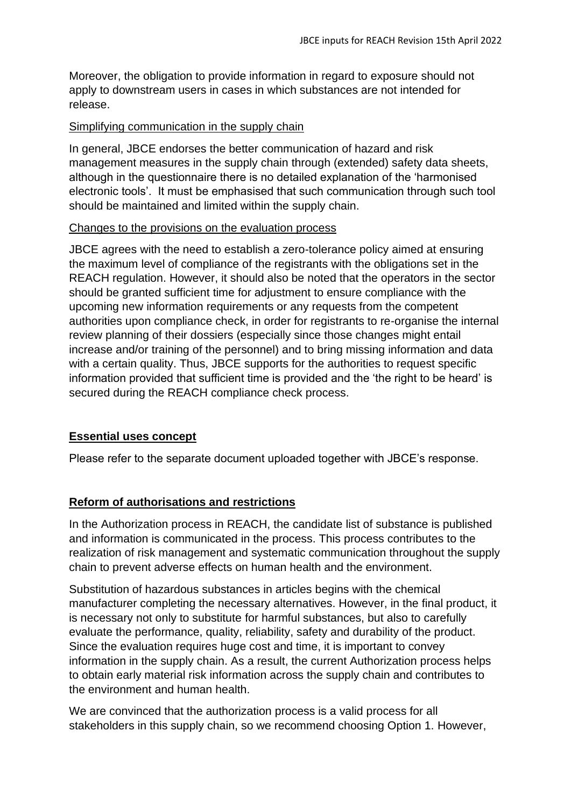Moreover, the obligation to provide information in regard to exposure should not apply to downstream users in cases in which substances are not intended for release.

## Simplifying communication in the supply chain

In general, JBCE endorses the better communication of hazard and risk management measures in the supply chain through (extended) safety data sheets, although in the questionnaire there is no detailed explanation of the 'harmonised electronic tools'. It must be emphasised that such communication through such tool should be maintained and limited within the supply chain.

### Changes to the provisions on the evaluation process

JBCE agrees with the need to establish a zero-tolerance policy aimed at ensuring the maximum level of compliance of the registrants with the obligations set in the REACH regulation. However, it should also be noted that the operators in the sector should be granted sufficient time for adjustment to ensure compliance with the upcoming new information requirements or any requests from the competent authorities upon compliance check, in order for registrants to re-organise the internal review planning of their dossiers (especially since those changes might entail increase and/or training of the personnel) and to bring missing information and data with a certain quality. Thus, JBCE supports for the authorities to request specific information provided that sufficient time is provided and the 'the right to be heard' is secured during the REACH compliance check process.

## **Essential uses concept**

Please refer to the separate document uploaded together with JBCE's response.

## **Reform of authorisations and restrictions**

In the Authorization process in REACH, the candidate list of substance is published and information is communicated in the process. This process contributes to the realization of risk management and systematic communication throughout the supply chain to prevent adverse effects on human health and the environment.

Substitution of hazardous substances in articles begins with the chemical manufacturer completing the necessary alternatives. However, in the final product, it is necessary not only to substitute for harmful substances, but also to carefully evaluate the performance, quality, reliability, safety and durability of the product. Since the evaluation requires huge cost and time, it is important to convey information in the supply chain. As a result, the current Authorization process helps to obtain early material risk information across the supply chain and contributes to the environment and human health.

We are convinced that the authorization process is a valid process for all stakeholders in this supply chain, so we recommend choosing Option 1. However,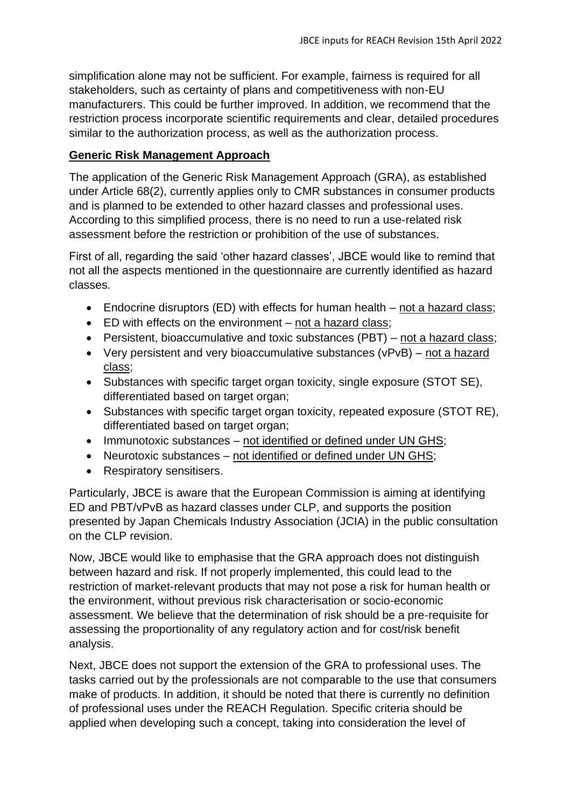simplification alone may not be sufficient. For example, fairness is required for all stakeholders, such as certainty of plans and competitiveness with non-EU manufacturers. This could be further improved. In addition, we recommend that the restriction process incorporate scientific requirements and clear, detailed procedures similar to the authorization process, as well as the authorization process.

# **Generic Risk Management Approach**

The application of the Generic Risk Management Approach (GRA), as established under Article 68(2), currently applies only to CMR substances in consumer products and is planned to be extended to other hazard classes and professional uses. According to this simplified process, there is no need to run a use-related risk assessment before the restriction or prohibition of the use of substances.

First of all, regarding the said 'other hazard classes', JBCE would like to remind that not all the aspects mentioned in the questionnaire are currently identified as hazard classes.

- Endocrine disruptors (ED) with effects for human health not a hazard class;
- ED with effects on the environment not a hazard class;
- Persistent, bioaccumulative and toxic substances (PBT) not a hazard class;
- Very persistent and very bioaccumulative substances (vPvB) not a hazard class;
- Substances with specific target organ toxicity, single exposure (STOT SE), differentiated based on target organ;
- Substances with specific target organ toxicity, repeated exposure (STOT RE), differentiated based on target organ;
- Immunotoxic substances not identified or defined under UN GHS;
- Neurotoxic substances not identified or defined under UN GHS;
- Respiratory sensitisers.

Particularly, JBCE is aware that the European Commission is aiming at identifying ED and PBT/vPvB as hazard classes under CLP, and supports the position presented by Japan Chemicals Industry Association (JCIA) in the public consultation on the CLP revision.

Now, JBCE would like to emphasise that the GRA approach does not distinguish between hazard and risk. If not properly implemented, this could lead to the restriction of market-relevant products that may not pose a risk for human health or the environment, without previous risk characterisation or socio-economic assessment. We believe that the determination of risk should be a pre-requisite for assessing the proportionality of any regulatory action and for cost/risk benefit analysis.

Next, JBCE does not support the extension of the GRA to professional uses. The tasks carried out by the professionals are not comparable to the use that consumers make of products. In addition, it should be noted that there is currently no definition of professional uses under the REACH Regulation. Specific criteria should be applied when developing such a concept, taking into consideration the level of